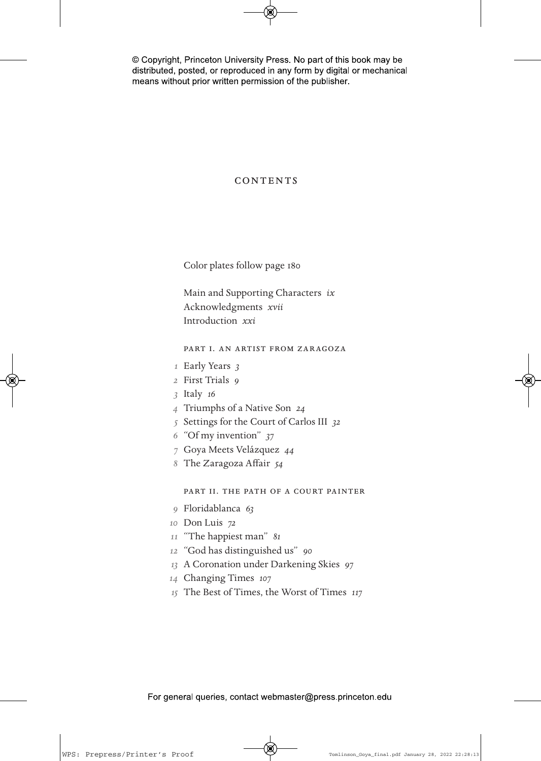# CONTENTS

Color plates follow page 180

Main and Supporting Characters *ix* Acknowledgments *xvii* Introduction *xxi*

#### Part I. An Artist from Zaragoza

- *1* Early Years *3*
- *2* First Trials *9*
- *3* Italy *16*
- *4* Triumphs of a Native Son *24*
- *5* Settings for the Court of Carlos III *32*
- *6* "Of my invention" *37*
- *7* Goya Meets Velázquez *44*
- *8* The Zaragoza Affair *54*

Part II. The Path of a Court Painter

- *9* Floridablanca *63*
- *10* Don Luis *72*
- *11* "The happiest man" *81*
- *12* "God has distinguished us" *90*
- *13* A Coronation under Darkening Skies *97*
- *14* Changing Times *107*
- *15* The Best of Times, the Worst of Times *117*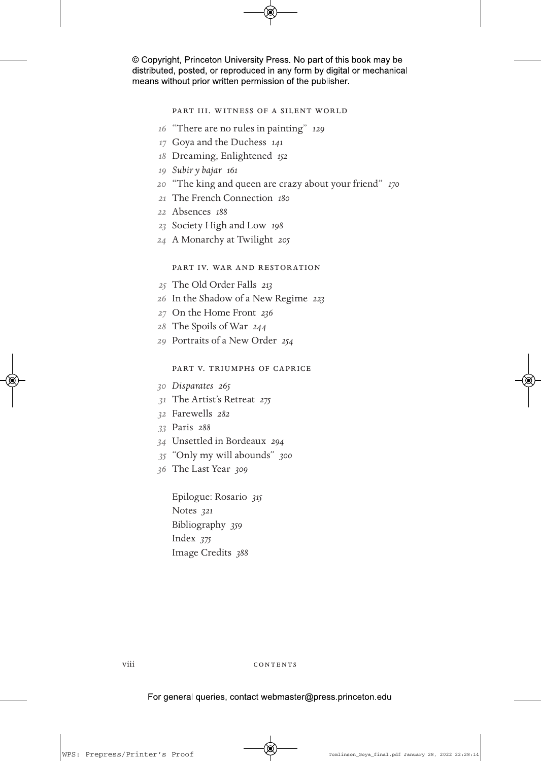Part III. Witness of a Silent World

- "There are no rules in painting" *129*
- Goya and the Duchess *141*
- Dreaming, Enlightened *152*
- *Subir y bajar 161*
- "The king and queen are crazy about your friend" *170*
- The French Connection *180*
- Absences *188*
- Society High and Low *198*
- A Monarchy at Twilight *205*

#### Part IV. War and Restoration

- The Old Order Falls *213*
- In the Shadow of a New Regime *223*
- On the Home Front *236*
- The Spoils of War *244*
- Portraits of a New Order *254*

Part V. Triumphs of Caprice

- *Disparates 265*
- The Artist's Retreat *275*
- Farewells *282*
- Paris *288*
- Unsettled in Bordeaux *294*
- "Only my will abounds" *300*
- The Last Year *309*

Epilogue: Rosario *315* Notes *321* Bibliography *359* Index *375* Image Credits *388*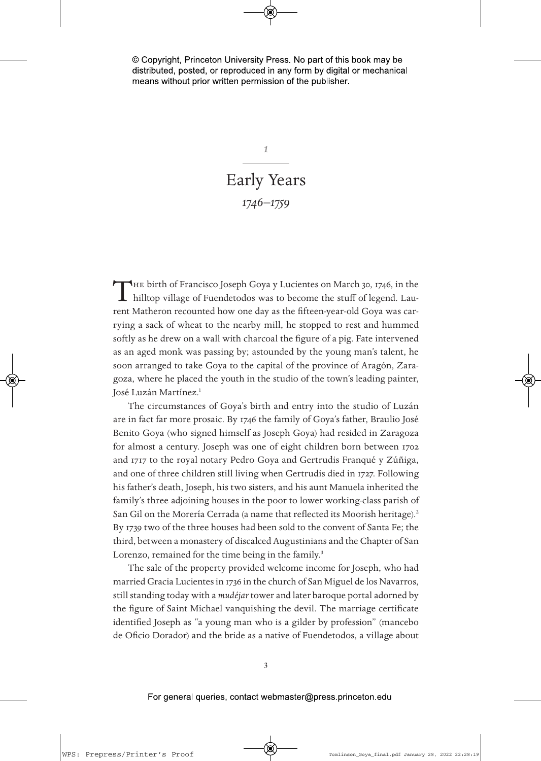> Early Years *1746–1759*

*1*

THE birth of Francisco Joseph Goya y Lucientes on March 30, 1746, in the  $\blacksquare$  hilltop village of Fuendetodos was to become the stuff of legend. Laurent Matheron recounted how one day as the fifteen-year-old Goya was carrying a sack of wheat to the nearby mill, he stopped to rest and hummed softly as he drew on a wall with charcoal the figure of a pig. Fate intervened as an aged monk was passing by; astounded by the young man's talent, he soon arranged to take Goya to the capital of the province of Aragón, Zaragoza, where he placed the youth in the studio of the town's leading painter, José Luzán Martínez.<sup>1</sup>

The circumstances of Goya's birth and entry into the studio of Luzán are in fact far more prosaic. By 1746 the family of Goya's father, Braulio José Benito Goya (who signed himself as Joseph Goya) had resided in Zaragoza for almost a century. Joseph was one of eight children born between 1702 and 1717 to the royal notary Pedro Goya and Gertrudis Franqué y Zúñiga, and one of three children still living when Gertrudis died in 1727. Following his father's death, Joseph, his two sisters, and his aunt Manuela inherited the family's three adjoining houses in the poor to lower working-class parish of San Gil on the Morería Cerrada (a name that reflected its Moorish heritage).<sup>2</sup> By 1739 two of the three houses had been sold to the convent of Santa Fe; the third, between a monastery of discalced Augustinians and the Chapter of San Lorenzo, remained for the time being in the family.<sup>3</sup>

The sale of the property provided welcome income for Joseph, who had married Gracia Lucientes in 1736 in the church of San Miguel de los Navarros, still standing today with a *mudéjar* tower and later baroque portal adorned by the figure of Saint Michael vanquishing the devil. The marriage certificate identified Joseph as "a young man who is a gilder by profession" (mancebo de Oficio Dorador) and the bride as a native of Fuendetodos, a village about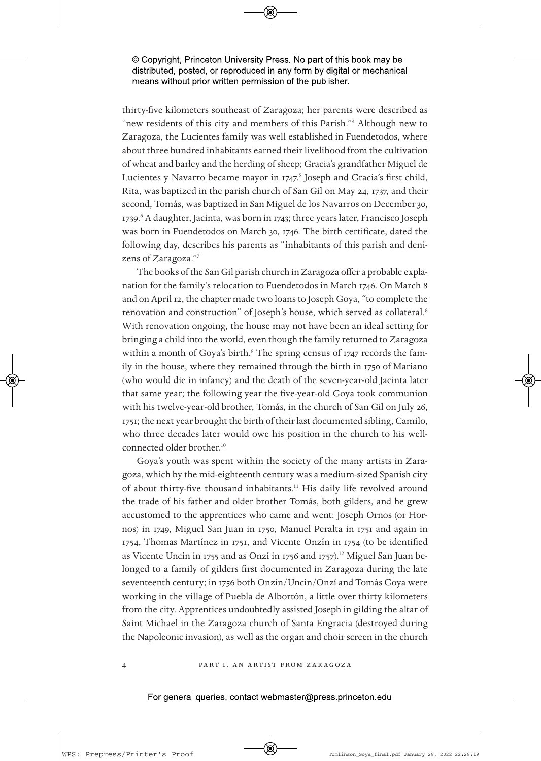thirty-five kilometers southeast of Zaragoza; her parents were described as "new residents of this city and members of this Parish."<sup>4</sup> Although new to Zaragoza, the Lucientes family was well established in Fuendetodos, where about three hundred inhabitants earned their livelihood from the cultivation of wheat and barley and the herding of sheep; Gracia's grandfather Miguel de Lucientes y Navarro became mayor in 1747.<sup>5</sup> Joseph and Gracia's first child, Rita, was baptized in the parish church of San Gil on May 24, 1737, and their second, Tomás, was baptized in San Miguel de los Navarros on December 30, 1739.<sup>6</sup> A daughter, Jacinta, was born in 1743; three years later, Francisco Joseph was born in Fuendetodos on March 30, 1746. The birth certificate, dated the following day, describes his parents as "inhabitants of this parish and denizens of Zaragoza."7

The books of the San Gil parish church in Zaragoza offer a probable explanation for the family's relocation to Fuendetodos in March 1746. On March 8 and on April 12, the chapter made two loans to Joseph Goya, "to complete the renovation and construction" of Joseph's house, which served as collateral.<sup>8</sup> With renovation ongoing, the house may not have been an ideal setting for bringing a child into the world, even though the family returned to Zaragoza within a month of Goya's birth.<sup>9</sup> The spring census of 1747 records the family in the house, where they remained through the birth in 1750 of Mariano (who would die in infancy) and the death of the seven-year-old Jacinta later that same year; the following year the five-year-old Goya took communion with his twelve-year-old brother, Tomás, in the church of San Gil on July 26, 1751; the next year brought the birth of their last documented sibling, Camilo, who three decades later would owe his position in the church to his wellconnected older brother.10

Goya's youth was spent within the society of the many artists in Zaragoza, which by the mid-eighteenth century was a medium-sized Spanish city of about thirty-five thousand inhabitants.<sup>11</sup> His daily life revolved around the trade of his father and older brother Tomás, both gilders, and he grew accustomed to the apprentices who came and went: Joseph Ornos (or Hornos) in 1749, Miguel San Juan in 1750, Manuel Peralta in 1751 and again in 1754, Thomas Martínez in 1751, and Vicente Onzín in 1754 (to be identified as Vicente Uncín in 1755 and as Onzí in 1756 and 1757).<sup>12</sup> Miguel San Juan belonged to a family of gilders first documented in Zaragoza during the late seventeenth century; in 1756 both Onzín/Uncín/Onzí and Tomás Goya were working in the village of Puebla de Albortón, a little over thirty kilometers from the city. Apprentices undoubtedly assisted Joseph in gilding the altar of Saint Michael in the Zaragoza church of Santa Engracia (destroyed during the Napoleonic invasion), as well as the organ and choir screen in the church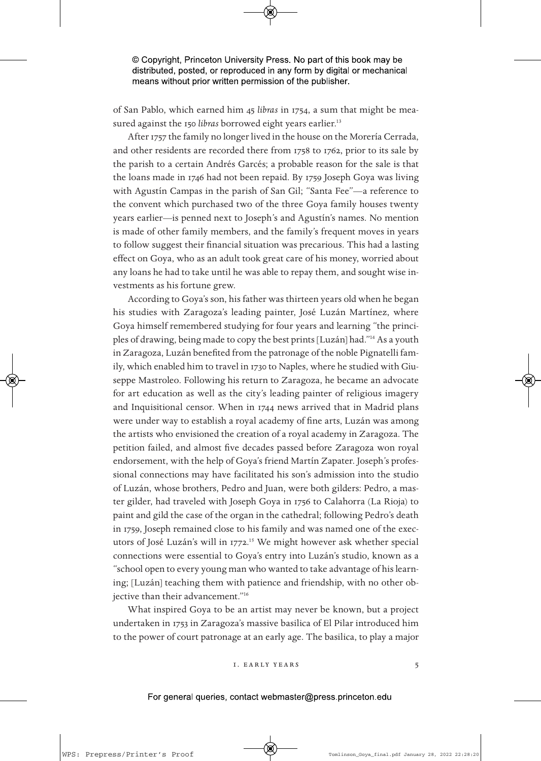of San Pablo, which earned him 45 *libras* in 1754, a sum that might be measured against the 150 *libras* borrowed eight years earlier.<sup>13</sup>

After 1757 the family no longer lived in the house on the Morería Cerrada, and other residents are recorded there from 1758 to 1762, prior to its sale by the parish to a certain Andrés Garcés; a probable reason for the sale is that the loans made in 1746 had not been repaid. By 1759 Joseph Goya was living with Agustín Campas in the parish of San Gil; "Santa Fee"—a reference to the convent which purchased two of the three Goya family houses twenty years earlier—is penned next to Joseph's and Agustín's names. No mention is made of other family members, and the family's frequent moves in years to follow suggest their financial situation was precarious. This had a lasting effect on Goya, who as an adult took great care of his money, worried about any loans he had to take until he was able to repay them, and sought wise investments as his fortune grew.

According to Goya's son, his father was thirteen years old when he began his studies with Zaragoza's leading painter, José Luzán Martínez, where Goya himself remembered studying for four years and learning "the principles of drawing, being made to copy the best prints [Luzán] had."14 As a youth in Zaragoza, Luzán benefited from the patronage of the noble Pignatelli family, which enabled him to travel in 1730 to Naples, where he studied with Giuseppe Mastroleo. Following his return to Zaragoza, he became an advocate for art education as well as the city's leading painter of religious imagery and Inquisitional censor. When in 1744 news arrived that in Madrid plans were under way to establish a royal academy of fine arts, Luzán was among the artists who envisioned the creation of a royal academy in Zaragoza. The petition failed, and almost five decades passed before Zaragoza won royal endorsement, with the help of Goya's friend Martín Zapater. Joseph's professional connections may have facilitated his son's admission into the studio of Luzán, whose brothers, Pedro and Juan, were both gilders: Pedro, a master gilder, had traveled with Joseph Goya in 1756 to Calahorra (La Rioja) to paint and gild the case of the organ in the cathedral; following Pedro's death in 1759, Joseph remained close to his family and was named one of the executors of José Luzán's will in 1772.<sup>15</sup> We might however ask whether special connections were essential to Goya's entry into Luzán's studio, known as a "school open to every young man who wanted to take advantage of his learning; [Luzán] teaching them with patience and friendship, with no other objective than their advancement."16

What inspired Goya to be an artist may never be known, but a project undertaken in 1753 in Zaragoza's massive basilica of El Pilar introduced him to the power of court patronage at an early age. The basilica, to play a major

1. EARLY YEARS 5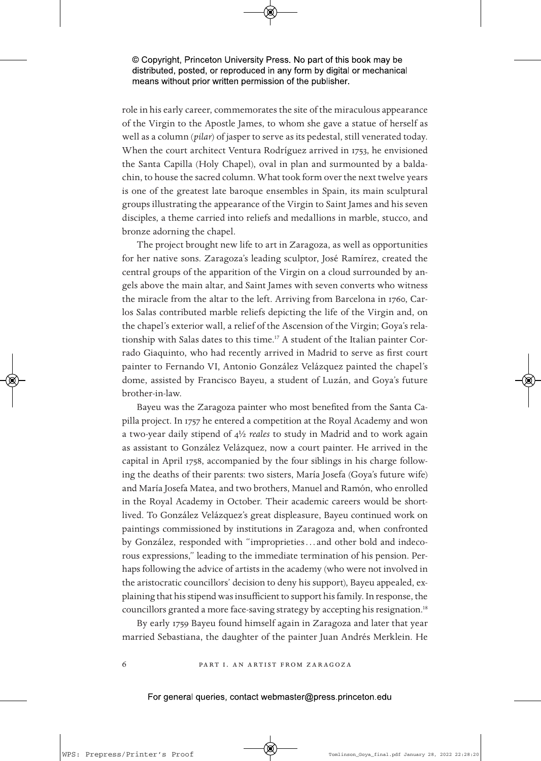role in his early career, commemorates the site of the miraculous appearance of the Virgin to the Apostle James, to whom she gave a statue of herself as well as a column (*pilar*) of jasper to serve as its pedestal, still venerated today. When the court architect Ventura Rodríguez arrived in 1753, he envisioned the Santa Capilla (Holy Chapel), oval in plan and surmounted by a baldachin, to house the sacred column. What took form over the next twelve years is one of the greatest late baroque ensembles in Spain, its main sculptural groups illustrating the appearance of the Virgin to Saint James and his seven disciples, a theme carried into reliefs and medallions in marble, stucco, and bronze adorning the chapel.

The project brought new life to art in Zaragoza, as well as opportunities for her native sons. Zaragoza's leading sculptor, José Ramírez, created the central groups of the apparition of the Virgin on a cloud surrounded by angels above the main altar, and Saint James with seven converts who witness the miracle from the altar to the left. Arriving from Barcelona in 1760, Carlos Salas contributed marble reliefs depicting the life of the Virgin and, on the chapel's exterior wall, a relief of the Ascension of the Virgin; Goya's relationship with Salas dates to this time.<sup>17</sup> A student of the Italian painter Corrado Giaquinto, who had recently arrived in Madrid to serve as first court painter to Fernando VI, Antonio González Velázquez painted the chapel's dome, assisted by Francisco Bayeu, a student of Luzán, and Goya's future brother-in-law.

Bayeu was the Zaragoza painter who most benefited from the Santa Capilla project. In 1757 he entered a competition at the Royal Academy and won a two-year daily stipend of 4½ *reales* to study in Madrid and to work again as assistant to González Velázquez, now a court painter. He arrived in the capital in April 1758, accompanied by the four siblings in his charge following the deaths of their parents: two sisters, María Josefa (Goya's future wife) and María Josefa Matea, and two brothers, Manuel and Ramón, who enrolled in the Royal Academy in October. Their academic careers would be shortlived. To González Velázquez's great displeasure, Bayeu continued work on paintings commissioned by institutions in Zaragoza and, when confronted by González, responded with "improprieties... and other bold and indecorous expressions," leading to the immediate termination of his pension. Perhaps following the advice of artists in the academy (who were not involved in the aristocratic councillors' decision to deny his support), Bayeu appealed, explaining that his stipend was insufficient to support his family. In response, the councillors granted a more face-saving strategy by accepting his resignation.<sup>18</sup>

By early 1759 Bayeu found himself again in Zaragoza and later that year married Sebastiana, the daughter of the painter Juan Andrés Merklein. He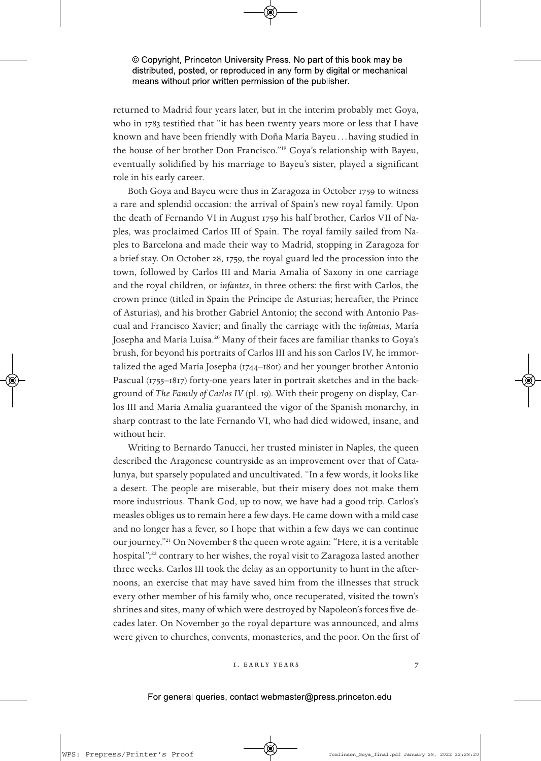returned to Madrid four years later, but in the interim probably met Goya, who in 1783 testified that "it has been twenty years more or less that I have known and have been friendly with Doña María Bayeu. . . having studied in the house of her brother Don Francisco."19 Goya's relationship with Bayeu, eventually solidified by his marriage to Bayeu's sister, played a significant role in his early career.

Both Goya and Bayeu were thus in Zaragoza in October 1759 to witness a rare and splendid occasion: the arrival of Spain's new royal family. Upon the death of Fernando VI in August 1759 his half brother, Carlos VII of Naples, was proclaimed Carlos III of Spain. The royal family sailed from Naples to Barcelona and made their way to Madrid, stopping in Zaragoza for a brief stay. On October 28, 1759, the royal guard led the procession into the town, followed by Carlos III and Maria Amalia of Saxony in one carriage and the royal children, or *infantes*, in three others: the first with Carlos, the crown prince (titled in Spain the Príncipe de Asturias; hereafter, the Prince of Asturias), and his brother Gabriel Antonio; the second with Antonio Pascual and Francisco Xavier; and finally the carriage with the *infantas*, María Josepha and María Luisa.<sup>20</sup> Many of their faces are familiar thanks to Goya's brush, for beyond his portraits of Carlos III and his son Carlos IV, he immortalized the aged María Josepha (1744–1801) and her younger brother Antonio Pascual (1755–1817) forty-one years later in portrait sketches and in the background of *The Family of Carlos IV* (pl. 19). With their progeny on display, Carlos III and Maria Amalia guaranteed the vigor of the Spanish monarchy, in sharp contrast to the late Fernando VI, who had died widowed, insane, and without heir.

Writing to Bernardo Tanucci, her trusted minister in Naples, the queen described the Aragonese countryside as an improvement over that of Catalunya, but sparsely populated and uncultivated. "In a few words, it looks like a desert. The people are miserable, but their misery does not make them more industrious. Thank God, up to now, we have had a good trip. Carlos's measles obliges us to remain here a few days. He came down with a mild case and no longer has a fever, so I hope that within a few days we can continue our journey."21 On November 8 the queen wrote again: "Here, it is a veritable hospital";<sup>22</sup> contrary to her wishes, the royal visit to Zaragoza lasted another three weeks. Carlos III took the delay as an opportunity to hunt in the afternoons, an exercise that may have saved him from the illnesses that struck every other member of his family who, once recuperated, visited the town's shrines and sites, many of which were destroyed by Napoleon's forces five decades later. On November 30 the royal departure was announced, and alms were given to churches, convents, monasteries, and the poor. On the first of

1. EARLY YEARS 7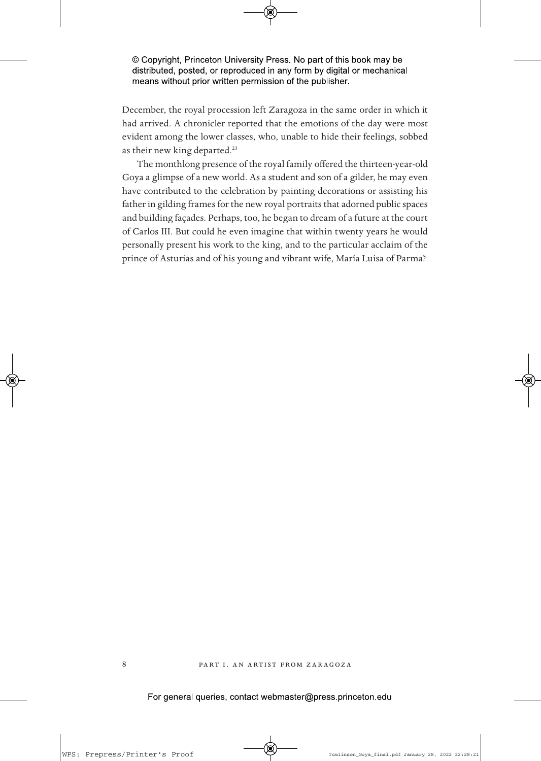December, the royal procession left Zaragoza in the same order in which it had arrived. A chronicler reported that the emotions of the day were most evident among the lower classes, who, unable to hide their feelings, sobbed as their new king departed.<sup>23</sup>

The monthlong presence of the royal family offered the thirteen-year-old Goya a glimpse of a new world. As a student and son of a gilder, he may even have contributed to the celebration by painting decorations or assisting his father in gilding frames for the new royal portraits that adorned public spaces and building façades. Perhaps, too, he began to dream of a future at the court of Carlos III. But could he even imagine that within twenty years he would personally present his work to the king, and to the particular acclaim of the prince of Asturias and of his young and vibrant wife, María Luisa of Parma?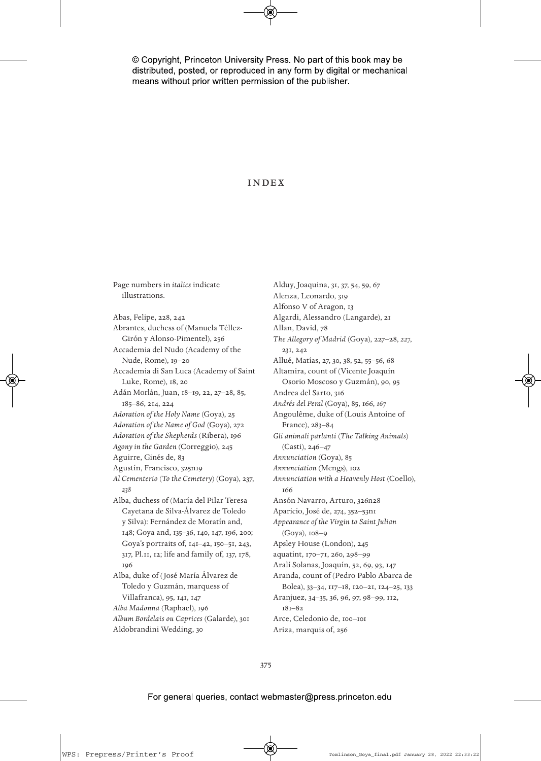# **INDEX**

Abas, Felipe, 228, 242 Abrantes, duchess of (Manuela Téllez-Girón y Alonso-Pimentel), 256 Accademia del Nudo (Academy of the Nude, Rome), 19–20 Accademia di San Luca (Academy of Saint Luke, Rome), 18, 20 Adán Morlán, Juan, 18–19, 22, 27–28, 85, 185–86, 214, 224 *Adoration of the Holy Name* (Goya), 25 *Adoration of the Name of God* (Goya), 272 *Adoration of the Shepherds* (Ribera), 196 *Agony in the Garden* (Correggio), 245 Aguirre, Ginés de, 83 Agustín, Francisco, 325n19 *Al Cementerio* (*To the Cemetery*) (Goya), 237, *238* Alba, duchess of (María del Pilar Teresa Cayetana de Silva-Álvarez de Toledo y Silva): Fernández de Moratín and, 148; Goya and, 135–36, 140, 147, 196, 200; Goya's portraits of, 141–42, 150–51, 243, 317, Pl.11, 12; life and family of, 137, 178, 196 Alba, duke of ( José María Álvarez de Toledo y Guzmán, marquess of Villafranca), 95, 141, 147 *Alba Madonna* (Raphael), 196 *Album Bordelais ou Caprices* (Galarde), 301 Aldobrandini Wedding, 30

Page numbers in *italics* indicate

illustrations.

Alduy, Joaquina, 31, 37, 54, 59, 67 Alenza, Leonardo, 319 Alfonso V of Aragon, 13 Algardi, Alessandro (Langarde), 21 Allan, David, 78 *The Allegory of Madrid* (Goya), 227–28, *227*, 231, 242 Allué, Matías, 27, 30, 38, 52, 55–56, 68 Altamira, count of (Vicente Joaquín Osorio Moscoso y Guzmán), 90, 95 Andrea del Sarto, 316 *Andrés del Peral* (Goya), 85, 166, *167* Angoulême, duke of (Louis Antoine of France), 283–84 *Gli animali parlanti* (*The Talking Animals*) (Casti), 246–47 *Annunciation* (Goya), 85 *Annunciation* (Mengs), 102 *Annunciation with a Heavenly Host* (Coello), 166 Ansón Navarro, Arturo, 326n28 Aparicio, José de, 274, 352–53n1 *Appearance of the Virgin to Saint Julian* (Goya), 108–9 Apsley House (London), 245 aquatint, 170–71, 260, 298–99 Aralí Solanas, Joaquín, 52, 69, 93, 147 Aranda, count of (Pedro Pablo Abarca de Bolea), 33–34, 117–18, 120–21, 124–25, 133 Aranjuez, 34–35, 36, 96, 97, 98–99, 112, 181–82 Arce, Celedonio de, 100–101 Ariza, marquis of, 256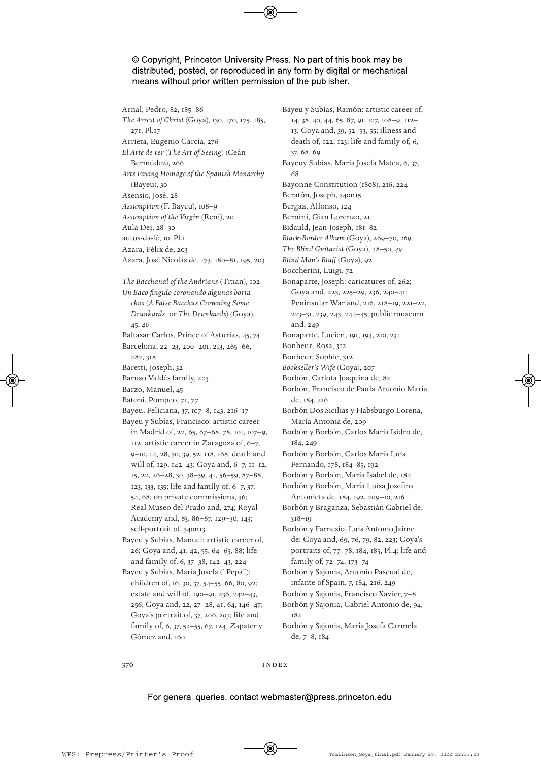Arnal, Pedro, 82, 185–86 *The Arrest of Christ* (Goya), 130, 170, 175, 185, 271, Pl.17 Arrieta, Eugenio García, 276 *El Arte de ver* (*The Art of Seeing*) (Ceán Bermúdez), 266 *Arts Paying Homage of the Spanish Monarchy* (Bayeu), 30 Asensio, José, 28 *Assumption* (F. Bayeu), 108–9 *Assumption of the Virgin* (Reni), 20 Aula Dei, 28–30 autos-da-fé, 10, Pl.1 Azara, Félix de, 203 Azara, José Nicolás de, 173, 180–81, 195, 203 *The Bacchanal of the Andrians* (Titian), 102 *Un Baco fingido coronando algunas borrachos* (*A False Bacchus Crowning Some Drunkards*; or *The Drunkards*) (Goya), 45, *46* Baltasar Carlos, Prince of Asturias, 45, 74 Barcelona, 22–23, 200–201, 213, 265–66, 282, 318 Baretti, Joseph, 32 Baruso Valdés family, 203 Barzo, Manuel, 45 Batoni, Pompeo, 71, 77 Bayeu, Feliciana, 37, 107–8, 143, 216–17 Bayeu y Subías, Francisco: artistic career in Madrid of, 22, 65, 67–68, 78, 101, 107–9, 112; artistic career in Zaragoza of, 6–7, 9–10, 14, 28, 30, 39, 52, 118, 168; death and will of, 129, 142–43; Goya and, 6–7, 11–12, 15, 22, 26–28, 30, 38–39, 41, 56–59, 87–88, 123, 133, 135; life and family of, 6–7, 37, 54, 68; on private commissions, 36; Real Museo del Prado and, 274; Royal Academy and, 83, 86–87, 129–30, 143; self-portrait of, 340n13 Bayeu y Subías, Manuel: artistic career of, 26; Goya and, 41, 42, 55, 64–65, 88; life and family of, 6, 37–38, 142–43, 224 Bayeu y Subías, María Josefa ("Pepa"): children of, 16, 30, 37, 54–55, 66, 80, 92; estate and will of, 190–91, 236, 242–43, 256; Goya and, 22, 27–28, 41, 64, 146–47; Goya's portrait of, 37, 206, *207*; life and family of, 6, 37, 54–55, 67, 124; Zapater y

Bayeu y Subías, Ramón: artistic career of, 14, 38, 40, 44, 65, 87, 91, 107, 108–9, 112– 13; Goya and, 39, 52–53, 55; illness and death of, 122, 123; life and family of, 6, 37, 68, 69 Bayeuy Subías, María Josefa Matea, 6, 37, 68 Bayonne Constitution (1808), 216, 224 Beratón, Joseph, 340n15 Bergaz, Alfonso, 124 Bernini, Gian Lorenzo, 21 Bidauld, Jean-Joseph, 181–82 *Black-Border Album* (Goya), 269–70, *269 The Blind Guitarist* (Goya), 48–50, *49 Blind Man's Bluff* (Goya), 92 Boccherini, Luigi, 72 Bonaparte, Joseph: caricatures of, 262; Goya and, 223, 225–29, 236, 240–41; Peninsular War and, 216, 218–19, 221–22, 223–31, 239, 243, 244–45; public museum and, 249 Bonaparte, Lucien, 191, 193, 210, 231 Bonheur, Rosa, 312 Bonheur, Sophie, 312 *Bookseller's Wife* (Goya), 207 Borbón, Carlota Joaquina de, 82 Borbón, Francisco de Paula Antonio María de, 184, 216 Borbón Dos Sicilias y Habsburgo Lorena, María Antonia de, 209 Borbón y Borbón, Carlos María Isidro de, 184, 249 Borbón y Borbón, Carlos María Luis Fernando, 178, 184–85, 192 Borbón y Borbón, María Isabel de, 184 Borbón y Borbón, María Luisa Josefina Antonieta de, 184, 192, 209–10, 216 Borbón y Braganza, Sebastián Gabriel de, 318–19 Borbón y Farnesio, Luis Antonio Jaime de: Goya and, 69, 76, 79, 82, 223; Goya's portraits of, 77–78, 184, 185, Pl.4; life and family of, 72–74, 173–74 Borbón y Sajonia, Antonio Pascual de, infante of Spain, 7, 184, 216, 249 Borbón y Sajonia, Francisco Xavier, 7–8 Borbón y Sajonia, Gabriel Antonio de, 94, 182 Borbón y Sajonia, María Josefa Carmela de, 7–8, 184

Gómez and, 160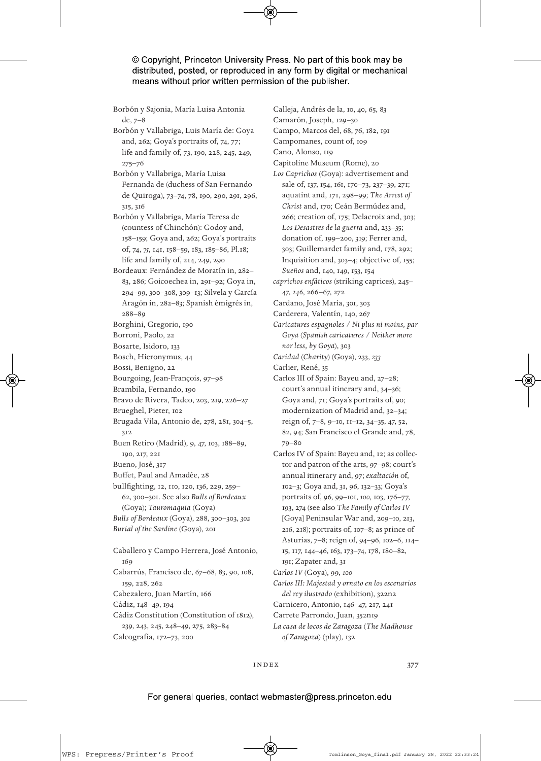Borbón y Sajonia, María Luisa Antonia de, 7–8

Borbón y Vallabriga, Luis María de: Goya and, 262; Goya's portraits of, 74, 77; life and family of, 73, 190, 228, 245, 249, 275–76

- Borbón y Vallabriga, María Luisa Fernanda de (duchess of San Fernando de Quiroga), 73–74, 78, 190, 290, 291, 296, 315, 316
- Borbón y Vallabriga, María Teresa de (countess of Chinchón): Godoy and, 158–159; Goya and, 262; Goya's portraits of, 74, *75*, 141, 158–59, 183, 185–86, Pl.18; life and family of, 214, 249, 290
- Bordeaux: Fernández de Moratín in, 282– 83, 286; Goicoechea in, 291–92; Goya in, 294–99, 300–308, 309–13; Silvela y García Aragón in, 282–83; Spanish émigrés in, 288–89
- Borghini, Gregorio, 190
- Borroni, Paolo, 22
- Bosarte, Isidoro, 133
- Bosch, Hieronymus, 44
- Bossi, Benigno, 22
- Bourgoing, Jean-François, 97–98
- Brambila, Fernando, 190
- Bravo de Rivera, Tadeo, 203, 219, 226–27
- Brueghel, Pieter, 102
- Brugada Vila, Antonio de, 278, 281, 304–5, 312
- Buen Retiro (Madrid), 9, 47, 103, 188–89, 190, 217, 221
- Bueno, José, 317
- Buffet, Paul and Amadée, 28
- bullfighting, 12, 110, 120, 136, 229, 259– 62, 300–301. See also *Bulls of Bordeaux* (Goya); *Tauromaquia* (Goya)
- *Bulls of Bordeaux* (Goya), 288, 300–303, *302 Burial of the Sardine* (Goya), 201

Caballero y Campo Herrera, José Antonio, 160 Cabarrús, Francisco de, 67–68, 83, 90, 108, 159, 228, 262 Cabezalero, Juan Martín, 166 Cádiz, 148–49, 194 Cádiz Constitution (Constitution of 1812), 239, 243, 245, 248–49, 275, 283–84 Calcografía, 172–73, 200

Calleja, Andrés de la, 10, 40, 65, 83 Camarón, Joseph, 129–30 Campo, Marcos del, 68, 76, 182, 191 Campomanes, count of, 109 Cano, Alonso, 119 Capitoline Museum (Rome), 20 *Los Caprichos* (Goya): advertisement and sale of, 137, 154, 161, 170–73, 237–39, 271; aquatint and, 171, 298–99; *The Arrest of Christ* and, 170; Ceán Bermúdez and, 266; creation of, 175; Delacroix and, 303; *Los Desastres de la guerra* and, 233–35; donation of, 199–200, 319; Ferrer and, 303; Guillemardet family and, 178, 292; Inquisition and, 303–4; objective of, 155; *Sueños* and, 140, 149, 153, 154 *caprichos enfáticos* (striking caprices), 245– 47, *246*, 266–67, 272 Cardano, José María, 301, 303 Carderera, Valentín, 140, 267 *Caricatures espagnoles / Ni plus ni moins, par Goya* (*Spanish caricatures / Neither more nor less, by Goya*), 303 *Caridad* (*Charity*) (Goya), 233, *233*

Carlier, René, 35

- Carlos III of Spain: Bayeu and, 27–28; court's annual itinerary and, 34–36; Goya and, 71; Goya's portraits of, 90; modernization of Madrid and, 32–34; reign of, 7–8, 9–10, 11–12, 34–35, 47, 52, 82, 94; San Francisco el Grande and, 78, 79–80
- Carlos IV of Spain: Bayeu and, 12; as collector and patron of the arts, 97–98; court's annual itinerary and, 97; *exaltación* of, 102–3; Goya and, 31, 96, 132–33; Goya's portraits of, 96, 99–101, *100*, 103, 176–77, 193, 274 (see also *The Family of Carlos IV* [Goya] Peninsular War and, 209–10, 213, 216, 218); portraits of, 107–8; as prince of Asturias, 7–8; reign of, 94–96, 102–6, 114– 15, 117, 144–46, 163, 173–74, 178, 180–82, 191; Zapater and, 31
- *Carlos IV* (Goya), 99, *100*
- *Carlos III: Majestad y ornato en los escenarios del rey ilustrado* (exhibition), 322n2 Carnicero, Antonio, 146–47, 217, 241
- Carrete Parrondo, Juan, 352n19
- *La casa de locos de Zaragoza* (*The Madhouse of Zaragoza*) (play), 132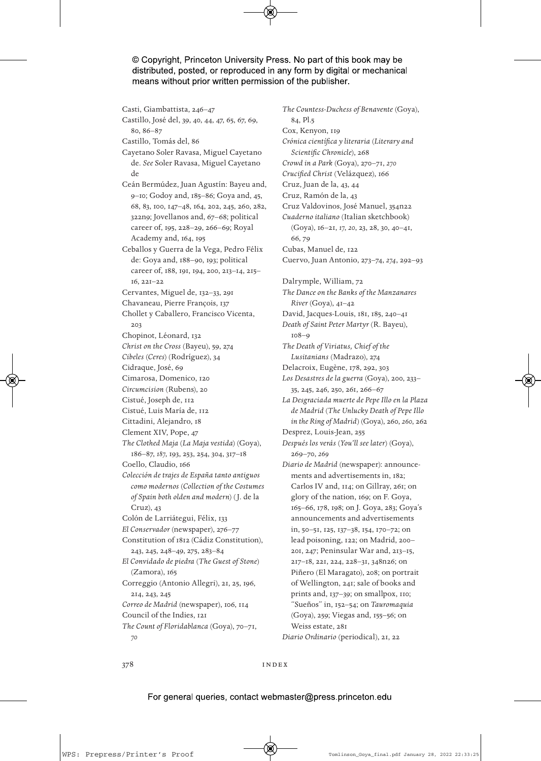Casti, Giambattista, 246–47 Castillo, José del, 39, 40, 44, 47, 65, 67, 69, 80, 86–87 Castillo, Tomás del, 86 Cayetano Soler Ravasa, Miguel Cayetano de. *See* Soler Ravasa, Miguel Cayetano de Ceán Bermúdez, Juan Agustín: Bayeu and, 9–10; Godoy and, 185–86; Goya and, 45, 68, 83, 100, 147–48, 164, 202, 245, 260, 282, 322n9; Jovellanos and, 67–68; political career of, 195, 228–29, 266–69; Royal Academy and, 164, 195 Ceballos y Guerra de la Vega, Pedro Félix de: Goya and, 188–90, 193; political career of, 188, 191, 194, 200, 213–14, 215– 16, 221–22 Cervantes, Miguel de, 132–33, 291 Chavaneau, Pierre François, 137 Chollet y Caballero, Francisco Vicenta, 203 Chopinot, Léonard, 132 *Christ on the Cross* (Bayeu), 59, 274 *Cibeles* (*Ceres*) (Rodríguez), 34 Cidraque, José, 69 Cimarosa, Domenico, 120 *Circumcision* (Rubens), 20 Cistué, Joseph de, 112 Cistué, Luis María de, 112 Cittadini, Alejandro, 18 Clement XIV, Pope, 47 *The Clothed Maja* (*La Maja vestida*) (Goya), 186–87, *187*, 193, 253, 254, 304, 317–18 Coello, Claudio, 166 *Colección de trajes de España tanto antiguos como modernos* (*Collection of the Costumes of Spain both olden and modern*) ( J. de la Cruz), 43 Colón de Larriátegui, Félix, 133 *El Conservador* (newspaper), 276–77 Constitution of 1812 (Cádiz Constitution), 243, 245, 248–49, 275, 283–84 *El Convidado de piedra* (*The Guest of Stone*) (Zamora), 165 Correggio (Antonio Allegri), 21, 25, 196, 214, 243, 245 *Correo de Madrid* (newspaper), 106, 114 Council of the Indies, 121 *The Count of Floridablanca* (Goya), 70–71, *70*

*The Countess-Duchess of Benavente* (Goya), 84, Pl.5 Cox, Kenyon, 119 *Crónica científica y literaria* (*Literary and Scientific Chronicle*), 268 *Crowd in a Park* (Goya), 270–71, *270 Crucified Christ* (Velázquez), 166 Cruz, Juan de la, 43, 44 Cruz, Ramón de la, 43 Cruz Valdovinos, José Manuel, 354n22 *Cuaderno italiano* (Italian sketchbook) (Goya), 16–21, *17*, *20*, 23, 28, 30, 40–41, 66, 79 Cubas, Manuel de, 122 Cuervo, Juan Antonio, 273–74, *274*, 292–93 Dalrymple, William, 72 *The Dance on the Banks of the Manzanares River* (Goya), 41–42 David, Jacques-Louis, 181, 185, 240–41 *Death of Saint Peter Martyr* (R. Bayeu), 108–9 *The Death of Viriatus, Chief of the Lusitanians* (Madrazo), 274 Delacroix, Eugène, 178, 292, 303 *Los Desastres de la guerra* (Goya), 200, 233– 35, 245, 246, 250, 261, 266–67 *La Desgraciada muerte de Pepe Illo en la Plaza de Madrid* (*The Unlucky Death of Pepe Illo in the Ring of Madrid*) (Goya), 260, *260*, 262 Desprez, Louis-Jean, 255 *Después los verás* (*You'll see later*) (Goya), 269–70, *269 Diario de Madrid* (newspaper): announcements and advertisements in, 182; Carlos IV and, 114; on Gillray, 261; on glory of the nation, 169; on F. Goya, 165–66, 178, 198; on J. Goya, 283; Goya's announcements and advertisements in, 50–51, 125, 137–38, 154, 170–72; on lead poisoning, 122; on Madrid, 200– 201, 247; Peninsular War and, 213–15, 217–18, 221, 224, 228–31, 348n26; on Piñero (El Maragato), 208; on portrait of Wellington, 241; sale of books and prints and, 137–39; on smallpox, 110; "Sueños" in, 152–54; on *Tauromaquia* (Goya), 259; Viegas and, 155–56; on Weiss estate, 281 *Diario Ordinario* (periodical), 21, 22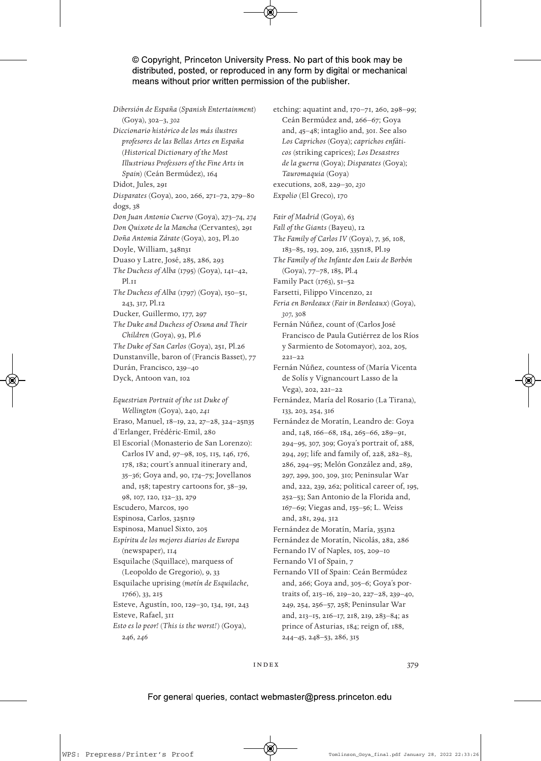*Dibersión de España* (*Spanish Entertainment*) (Goya), 302–3, *302 Diccionario histórico de los más ilustres profesores de las Bellas Artes en España* (*Historical Dictionary of the Most Illustrious Professors of the Fine Arts in Spain*) (Ceán Bermúdez), 164 Didot, Jules, 291 *Disparates* (Goya), 200, 266, 271–72, 279–80 dogs, 38 *Don Juan Antonio Cuervo* (Goya), 273–74, *274 Don Quixote de la Mancha* (Cervantes), 291 *Doña Antonia Zárate* (Goya), 203, Pl.20 Doyle, William, 348n31 Duaso y Latre, José, 285, 286, 293 *The Duchess of Alba* (1795) (Goya), 141–42, Pl.<sub>II</sub> *The Duchess of Alba* (1797) (Goya), 150–51, 243, 317, Pl.12 Ducker, Guillermo, 177, 297 *The Duke and Duchess of Osuna and Their Children* (Goya), 93, Pl.6 *The Duke of San Carlos* (Goya), 251, Pl.26 Dunstanville, baron of (Francis Basset), 77 Durán, Francisco, 239–40 Dyck, Antoon van, 102

*Equestrian Portrait of the 1st Duke of Wellington* (Goya), 240, *241* Eraso, Manuel, 18–19, 22, 27–28, 324–25n35 d'Erlanger, Frédéric-Emil, 280 El Escorial (Monasterio de San Lorenzo): Carlos IV and, 97–98, 105, 115, 146, 176, 178, 182; court's annual itinerary and, 35–36; Goya and, 90, 174–75; Jovellanos and, 158; tapestry cartoons for, 38–39, 98, 107, 120, 132–33, 279 Escudero, Marcos, 190 Espinosa, Carlos, 325n19 Espinosa, Manuel Sixto, 205 *Espíritu de los mejores diarios de Europa* (newspaper), 114 Esquilache (Squillace), marquess of (Leopoldo de Gregorio), 9, 33 Esquilache uprising (*motín de Esquilache*, 1766), 33, 215 Esteve, Agustín, 100, 129–30, 134, 191, 243 Esteve, Rafael, 311 *Esto es lo peor!* (*This is the worst!*) (Goya), 246, *246*

etching: aquatint and, 170–71, 260, 298–99; Ceán Bermúdez and, 266–67; Goya and, 45–48; intaglio and, 301. See also *Los Caprichos* (Goya); *caprichos enfáticos* (striking caprices); *Los Desastres de la guerra* (Goya); *Disparates* (Goya); *Tauromaquia* (Goya) executions, 208, 229–30, *230 Expolio* (El Greco), 170

- *Fair of Madrid* (Goya), 63
- *Fall of the Giants* (Bayeu), 12
- *The Family of Carlos IV* (Goya), 7, 36, 108, 183–85, 193, 209, 216, 335n18, Pl.19
- *The Family of the Infante don Luis de Borbón*
- (Goya), 77–78, 185, Pl.4
- Family Pact (1763), 51–52
- Farsetti, Filippo Vincenzo, 21
- *Feria en Bordeaux* (*Fair in Bordeaux*) (Goya), *307*, 308
- Fernán Núñez, count of (Carlos José Francisco de Paula Gutiérrez de los Ríos y Sarmiento de Sotomayor), 202, 205, 221–22
- Fernán Núñez, countess of (María Vicenta de Solís y Vignancourt Lasso de la Vega), 202, 221–22
- Fernández, María del Rosario (La Tirana), 133, 203, 254, 316
- Fernández de Moratín, Leandro de: Goya and, 148, 166–68, 184, 265–66, 289–91, 294–95, 307, 309; Goya's portrait of, 288, 294, *295*; life and family of, 228, 282–83, 286, 294–95; Melón González and, 289, 297, 299, 300, 309, 310; Peninsular War and, 222, 239, 262; political career of, 195, 252–53; San Antonio de la Florida and, 167–69; Viegas and, 155–56; L. Weiss and, 281, 294, 312
- Fernández de Moratín, María, 353n2
- Fernández de Moratín, Nicolás, 282, 286
- Fernando IV of Naples, 105, 209–10
- Fernando VI of Spain, 7
- Fernando VII of Spain: Ceán Bermúdez and, 266; Goya and, 305–6; Goya's portraits of, 215–16, 219–20, 227–28, 239–40, 249, 254, 256–57, 258; Peninsular War and, 213–15, 216–17, 218, 219, 283–84; as prince of Asturias, 184; reign of, 188, 244–45, 248–53, 286, 315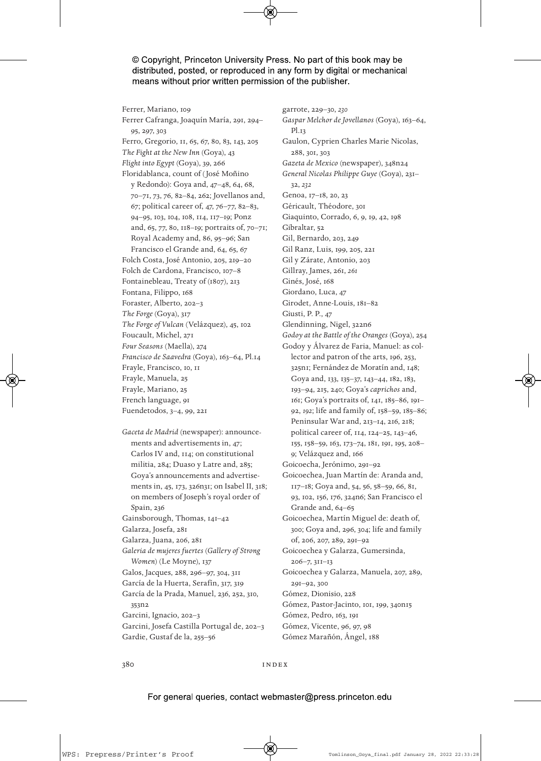Ferrer, Mariano, 109 Ferrer Cafranga, Joaquín María, 291, 294– 95, 297, 303 Ferro, Gregorio, 11, 65, 67, 80, 83, 143, 205 *The Fight at the New Inn* (Goya), 43 *Flight into Egypt* (Goya), 39, 266 Floridablanca, count of ( José Moñino y Redondo): Goya and, 47–48, 64, 68, 70–71, 73, 76, 82–84, 262; Jovellanos and, 67; political career of, 47, 76–77, 82–83, 94–95, 103, 104, 108, 114, 117–19; Ponz and, 65, 77, 80, 118–19; portraits of, 70–71; Royal Academy and, 86, 95–96; San Francisco el Grande and, 64, 65, 67 Folch Costa, José Antonio, 205, 219–20 Folch de Cardona, Francisco, 107–8 Fontainebleau, Treaty of (1807), 213 Fontana, Filippo, 168 Foraster, Alberto, 202–3 *The Forge* (Goya), 317 *The Forge of Vulcan* (Velázquez), 45, 102 Foucault, Michel, 271 *Four Seasons* (Maella), 274 *Francisco de Saavedra* (Goya), 163–64, Pl.14 Frayle, Francisco, 10, 11 Frayle, Manuela, 25 Frayle, Mariano, 25 French language, 91 Fuendetodos, 3–4, 99, 221

*Gaceta de Madrid* (newspaper): announcements and advertisements in, 47; Carlos IV and, 114; on constitutional militia, 284; Duaso y Latre and, 285; Goya's announcements and advertisements in, 45, 173, 326n31; on Isabel II, 318; on members of Joseph's royal order of Spain, 236 Gainsborough, Thomas, 141–42 Galarza, Josefa, 281 Galarza, Juana, 206, 281 *Galeria de mujeres fuertes* (*Gallery of Strong Women*) (Le Moyne), 137 Galos, Jacques, 288, 296–97, 304, 311 García de la Huerta, Serafín, 317, 319 García de la Prada, Manuel, 236, 252, 310, 353n2 Garcini, Ignacio, 202–3 Garcini, Josefa Castilla Portugal de, 202–3 Gardie, Gustaf de la, 255–56

garrote, 229–30, *230 Gaspar Melchor de Jovellanos* (Goya), 163–64, Pl.13 Gaulon, Cyprien Charles Marie Nicolas, 288, 301, 303 *Gazeta de Mexico* (newspaper), 348n24 *General Nicolas Philippe Guye* (Goya), 231– 32, *232* Genoa, 17–18, 20, 23 Géricault, Théodore, 301 Giaquinto, Corrado, 6, 9, 19, 42, 198 Gibraltar, 52 Gil, Bernardo, 203, 249 Gil Ranz, Luis, 199, 205, 221 Gil y Zárate, Antonio, 203 Gillray, James, 261, *261* Ginés, José, 168 Giordano, Luca, 47 Girodet, Anne-Louis, 181–82 Giusti, P. P., 47 Glendinning, Nigel, 322n6 *Godoy at the Battle of the Oranges* (Goya), 254 Godoy y Álvarez de Faria, Manuel: as collector and patron of the arts, 196, 253, 325n1; Fernández de Moratín and, 148; Goya and, 133, 135–37, 143–44, 182, 183, 193–94, 215, 240; Goya's *caprichos* and, 161; Goya's portraits of, 141, 185–86, 191– 92, *192*; life and family of, 158–59, 185–86; Peninsular War and, 213–14, 216, 218; political career of, 114, 124–25, 143–46, 155, 158–59, 163, 173–74, 181, 191, 195, 208– 9; Velázquez and, 166 Goicoecha, Jerónimo, 291–92 Goicoechea, Juan Martín de: Aranda and, 117–18; Goya and, 54, 56, 58–59, 66, 81, 93, 102, 156, 176, 324n6; San Francisco el Grande and, 64–65 Goicoechea, Martín Miguel de: death of, 300; Goya and, 296, 304; life and family of, 206, 207, 289, 291–92 Goicoechea y Galarza, Gumersinda, 206–7, 311–13 Goicoechea y Galarza, Manuela, 207, 289, 291–92, 300 Gómez, Dionisio, 228 Gómez, Pastor-Jacinto, 101, 199, 340n15 Gómez, Pedro, 163, 191 Gómez, Vicente, 96, 97, 98 Gómez Marañón, Ángel, 188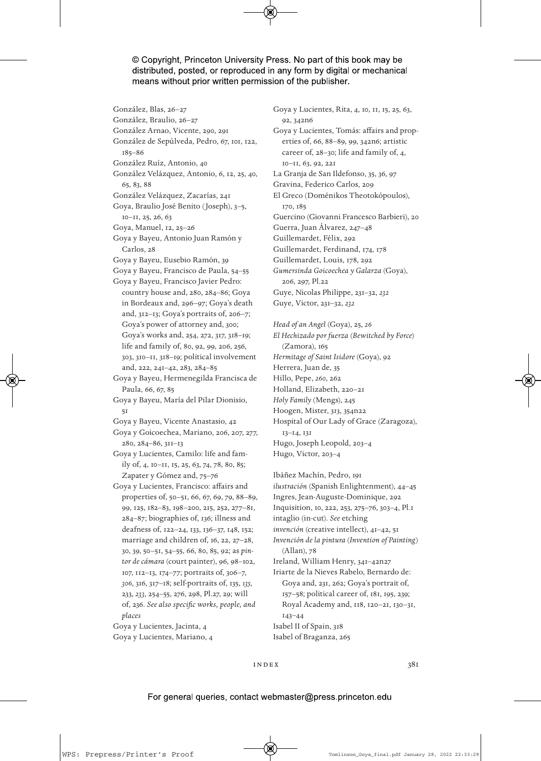González, Blas, 26–27 González, Braulio, 26–27 González Arnao, Vicente, 290, 291 González de Sepúlveda, Pedro, 67, 101, 122, 185–86 González Ruíz, Antonio, 40 González Velázquez, Antonio, 6, 12, 25, 40, 65, 83, 88 González Velázquez, Zacarías, 241 Goya, Braulio José Benito ( Joseph), 3–5, 10–11, 25, 26, 63 Goya, Manuel, 12, 25–26 Goya y Bayeu, Antonio Juan Ramón y Carlos, 28 Goya y Bayeu, Eusebio Ramón, 39 Goya y Bayeu, Francisco de Paula, 54–55 Goya y Bayeu, Francisco Javier Pedro: country house and, 280, 284–86; Goya in Bordeaux and, 296–97; Goya's death and, 312–13; Goya's portraits of, 206–7; Goya's power of attorney and, 300; Goya's works and, 254, 272, 317, 318–19; life and family of, 80, 92, 99, 206, 256, 303, 310–11, 318–19; political involvement and, 222, 241–42, 283, 284–85 Goya y Bayeu, Hermenegilda Francisca de Paula, 66, 67, 85 Goya y Bayeu, María del Pilar Dionisio, 51 Goya y Bayeu, Vicente Anastasio, 42 Goya y Goicoechea, Mariano, 206, 207, 277, 280, 284–86, 311–13 Goya y Lucientes, Camilo: life and family of, 4, 10–11, 15, 25, 63, 74, 78, 80, 85; Zapater y Gómez and, 75–76 Goya y Lucientes, Francisco: affairs and properties of, 50–51, 66, 67, 69, 79, 88–89, 99, 125, 182–83, 198–200, 215, 252, 277–81, 284–87; biographies of, 136; illness and deafness of, 122–24, 133, 136–37, 148, 152; marriage and children of, 16, 22, 27–28, 30, 39, 50–51, 54–55, 66, 80, 85, 92; as *pintor de cámara* (court painter), 96, 98–102, 107, 112–13, 174–77; portraits of, 306–7, *306*, 316, 317–18; self-portraits of, 135, *135*, 233, *233*, 254–55, 276, 298, Pl.27, 29; will of, 236. *See also specific works, people, and places* Goya y Lucientes, Jacinta, 4

Goya y Lucientes, Mariano, 4

Goya y Lucientes, Rita, 4, 10, 11, 15, 25, 63, 92, 342n6 Goya y Lucientes, Tomás: affairs and properties of, 66, 88–89, 99, 342n6; artistic career of, 28–30; life and family of, 4, 10–11, 63, 92, 221 La Granja de San Ildefonso, 35, 36, 97 Gravina, Federico Carlos, 209 El Greco (Doménikos Theotokópoulos), 170, 185 Guercino (Giovanni Francesco Barbieri), 20 Guerra, Juan Álvarez, 247–48 Guillemardet, Félix, 292 Guillemardet, Ferdinand, 174, 178 Guillemardet, Louis, 178, 292 *Gumersinda Goicoechea y Galarza* (Goya), 206, 297, Pl.22 Guye, Nicolas Philippe, 231–32, *232*

Guye, Victor, 231–32, *232*

*Head of an Angel* (Goya), 25, *26 El Hechizado por fuerza* (*Bewitched by Force*) (Zamora), 165 *Hermitage of Saint Isidore* (Goya), 92 Herrera, Juan de, 35 Hillo, Pepe, *260*, 262 Holland, Elizabeth, 220–21 *Holy Family* (Mengs), 245 Hoogen, Mister, 313, 354n22 Hospital of Our Lady of Grace (Zaragoza), 13–14, 131 Hugo, Joseph Leopold, 203–4 Hugo, Victor, 203–4

Ibáñez Machín, Pedro, 191 *ilustración* (Spanish Enlightenment), 44–45 Ingres, Jean-Auguste-Dominique, 292 Inquisition, 10, 222, 253, 275–76, 303–4, Pl.1 intaglio (in-cut). *See* etching *invención* (creative intellect), 41–42, 51 *Invención de la pintura* (*Invention of Painting*) (Allan), 78 Ireland, William Henry, 341–42n27 Iriarte de la Nieves Rabelo, Bernardo de: Goya and, 231, 262; Goya's portrait of, 157–58; political career of, 181, 195, 239; Royal Academy and, 118, 120–21, 130–31, 143–44 Isabel II of Spain, 318 Isabel of Braganza, 265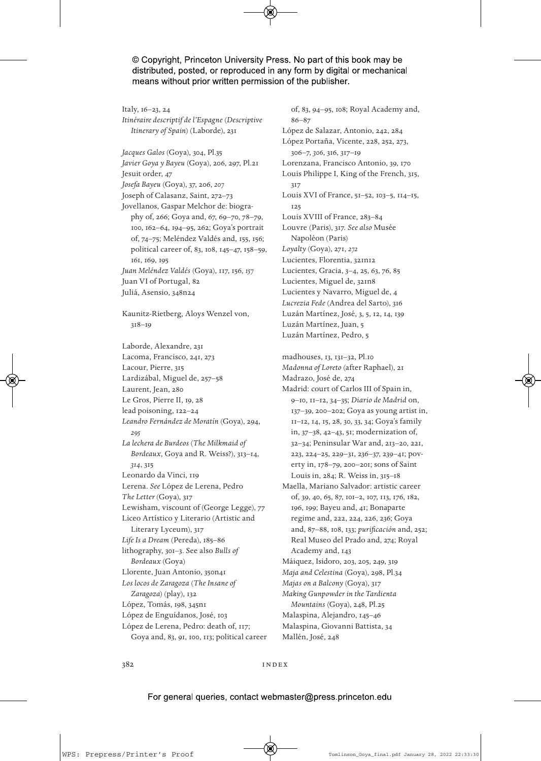Italy, 16–23, 24 *Itinéraire descriptif de l'Espagne* (*Descriptive Itinerary of Spain*) (Laborde), 231 *Jacques Galos* (Goya), 304, Pl.35 *Javier Goya y Bayeu* (Goya), 206, 297, Pl.21 Jesuit order, 47 *Josefa Bayeu* (Goya), 37, 206, *207* Joseph of Calasanz, Saint, 272–73 Jovellanos, Gaspar Melchor de: biography of, 266; Goya and, 67, 69–70, 78–79, 100, 162–64, 194–95, 262; Goya's portrait of, 74–75; Meléndez Valdés and, 155, 156; political career of, 83, 108, 145–47, 158–59, 161, 169, 195 *Juan Meléndez Valdés* (Goya), 117, 156, *157* Juan VI of Portugal, 82 Juliá, Asensio, 348n24 Kaunitz-Rietberg, Aloys Wenzel von, 318–19 Laborde, Alexandre, 231 Lacoma, Francisco, 241, 273 Lacour, Pierre, 315 Lardizábal, Miguel de, 257–58 Laurent, Jean, 280 Le Gros, Pierre II, 19, 28 lead poisoning, 122–24 *Leandro Fernández de Moratín* (Goya), 294, *295 La lechera de Burdeos* (*The Milkmaid of Bordeaux*, Goya and R. Weiss?), 313–14, *314*, 315 Leonardo da Vinci, 119 Lerena. *See* López de Lerena, Pedro *The Letter* (Goya), 317 Lewisham, viscount of (George Legge), 77 Liceo Artístico y Literario (Artistic and Literary Lyceum), 317 *Life Is a Dream* (Pereda), 185–86 lithography, 301–3. See also *Bulls of Bordeaux* (Goya) Llorente, Juan Antonio, 350n41 *Los locos de Zaragoza* (*The Insane of Zaragoza*) (play), 132 López, Tomás, 198, 345n1 López de Enguídanos, José, 103 López de Lerena, Pedro: death of, 117; Goya and, 83, 91, 100, 113; political career

of, 83, 94–95, 108; Royal Academy and, 86–87 López de Salazar, Antonio, 242, 284 López Portaña, Vicente, 228, 252, 273, 306–7, *306*, 316, 317–19 Lorenzana, Francisco Antonio, 39, 170 Louis Philippe I, King of the French, 315, 317 Louis XVI of France, 51–52, 103–5, 114–15, 125 Louis XVIII of France, 283–84 Louvre (Paris), 317. *See also* Musée Napoléon (Paris) *Loyalty* (Goya), 271, *272* Lucientes, Florentia, 321n12 Lucientes, Gracia, 3–4, 25, 63, 76, 85 Lucientes, Miguel de, 321n8 Lucientes y Navarro, Miguel de, 4 *Lucrezia Fede* (Andrea del Sarto), 316 Luzán Martínez, José, 3, 5, 12, 14, 139 Luzán Martínez, Juan, 5 Luzán Martínez, Pedro, 5 madhouses, 13, 131–32, Pl.10 *Madonna of Loreto* (after Raphael), 21 Madrazo, José de, 274 Madrid: court of Carlos III of Spain in, 9–10, 11–12, 34–35; *Diario de Madrid* on, 137–39, 200–202; Goya as young artist in, 11–12, 14, 15, 28, 30, 33, 34; Goya's family in, 37–38, 42–43, 51; modernization of, 32–34; Peninsular War and, 213–20, 221, 223, 224–25, 229–31, 236–37, 239–41; poverty in, 178–79, 200–201; sons of Saint Louis in, 284; R. Weiss in, 315–18 Maella, Mariano Salvador: artistic career of, 39, 40, 65, 87, 101–2, 107, 113, 176, 182, 196, 199; Bayeu and, 41; Bonaparte regime and, 222, 224, 226, 236; Goya and, 87–88, 108, 133; *purificación* and, 252; Real Museo del Prado and, 274; Royal Academy and, 143 Máiquez, Isidoro, 203, 205, 249, 319 *Maja and Celestina* (Goya), 298, Pl.34 *Majas on a Balcony* (Goya), 317 *Making Gunpowder in the Tardienta Mountains* (Goya), 248, Pl.25 Malaspina, Alejandro, 145–46 Malaspina, Giovanni Battista, 34 Mallén, José, 248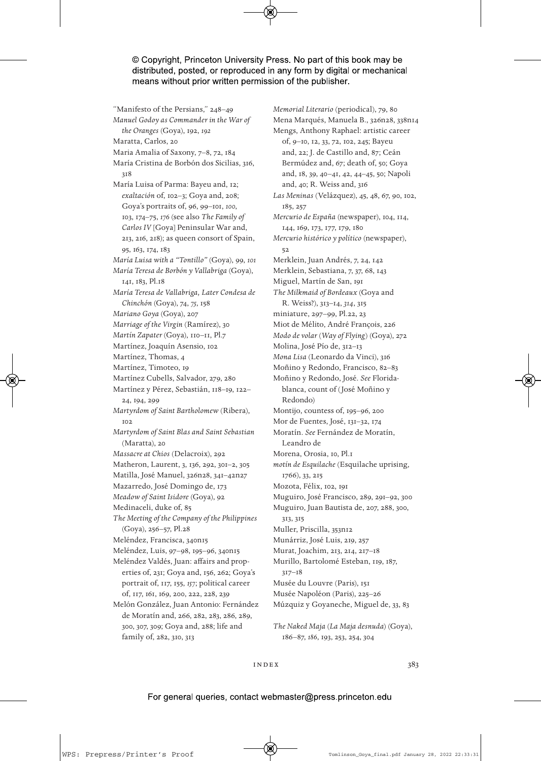"Manifesto of the Persians," 248–49 *Manuel Godoy as Commander in the War of the Oranges* (Goya), 192, *192* Maratta, Carlos, 20 Maria Amalia of Saxony, 7–8, 72, 184 María Cristina de Borbón dos Sicilias, 316, 318 María Luisa of Parma: Bayeu and, 12; *exaltación* of, 102–3; Goya and, 208; Goya's portraits of, 96, 99–101, *100*, 103, 174–75, *176* (see also *The Family of Carlos IV* [Goya] Peninsular War and, 213, 216, 218); as queen consort of Spain, 95, 163, 174, 183 *María Luisa with a "Tontillo"* (Goya), 99, *101 María Teresa de Borbón y Vallabriga* (Goya), 141, 183, Pl.18 *María Teresa de Vallabriga, Later Condesa de Chinchón* (Goya), 74, *75*, 158 *Mariano Goya* (Goya), 207 *Marriage of the Virgin* (Ramírez), 30 *Martín Zapater* (Goya), 110–11, Pl.7 Martínez, Joaquín Asensio, 102 Martínez, Thomas, 4 Martínez, Timoteo, 19 Martínez Cubells, Salvador, 279, 280 Martínez y Pérez, Sebastián, 118–19, 122– 24, 194, 299 *Martyrdom of Saint Bartholomew* (Ribera), 102 *Martyrdom of Saint Blas and Saint Sebastian* (Maratta), 20 *Massacre at Chios* (Delacroix), 292 Matheron, Laurent, 3, 136, 292, 301–2, 305 Matilla, José Manuel, 326n28, 341–42n27 Mazarredo, José Domingo de, 173 *Meadow of Saint Isidore* (Goya), 92 Medinaceli, duke of, 85 *The Meeting of the Company of the Philippines* (Goya), 256–57, Pl.28 Meléndez, Francisca, 340n15 Meléndez, Luis, 97–98, 195–96, 340n15 Meléndez Valdés, Juan: affairs and properties of, 231; Goya and, 156, 262; Goya's portrait of, 117, 155, *157*; political career of, 117, 161, 169, 200, 222, 228, 239 Melón González, Juan Antonio: Fernández de Moratín and, 266, 282, 283, 286, 289, 300, 307, 309; Goya and, 288; life and family of, 282, 310, 313

*Memorial Literario* (periodical), 79, 80 Mena Marqués, Manuela B., 326n28, 338n14 Mengs, Anthony Raphael: artistic career of, 9–10, 12, 33, 72, 102, 245; Bayeu and, 22; J. de Castillo and, 87; Ceán Bermúdez and, 67; death of, 50; Goya and, 18, 39, 40–41, 42, 44–45, 50; Napoli and, 40; R. Weiss and, 316 *Las Meninas* (Velázquez), 45, 48, 67, 90, 102, 185, 257 *Mercurio de España* (newspaper), 104, 114, 144, 169, 173, 177, 179, 180 *Mercurio histórico y político* (newspaper), 52 Merklein, Juan Andrés, 7, 24, 142 Merklein, Sebastiana, 7, 37, 68, 143 Miguel, Martín de San, 191 *The Milkmaid of Bordeaux* (Goya and R. Weiss?), 313–14, *314*, 315 miniature, 297–99, Pl.22, 23 Miot de Mélito, André François, 226 *Modo de volar* (*Way of Flying*) (Goya), 272 Molina, José Pío de, 312–13 *Mona Lisa* (Leonardo da Vinci), 316 Moñino y Redondo, Francisco, 82–83 Moñino y Redondo, José. *See* Floridablanca, count of ( José Moñino y Redondo) Montijo, countess of, 195–96, 200 Mor de Fuentes, José, 131–32, 174 Moratín. *See* Fernández de Moratín, Leandro de Morena, Orosia, 10, Pl.1 *motín de Esquilache* (Esquilache uprising, 1766), 33, 215 Mozota, Félix, 102, 191 Muguiro, José Francisco, 289, 291–92, 300 Muguiro, Juan Bautista de, 207, 288, 300, 313, 315 Muller, Priscilla, 353n12 Munárriz, José Luis, 219, 257 Murat, Joachim, 213, 214, 217–18 Murillo, Bartolomé Esteban, 119, 187, 317–18 Musée du Louvre (Paris), 151 Musée Napoléon (Paris), 225–26 Múzquiz y Goyaneche, Miguel de, 33, 83

*The Naked Maja* (*La Maja desnuda*) (Goya), 186–87, *186*, 193, 253, 254, 304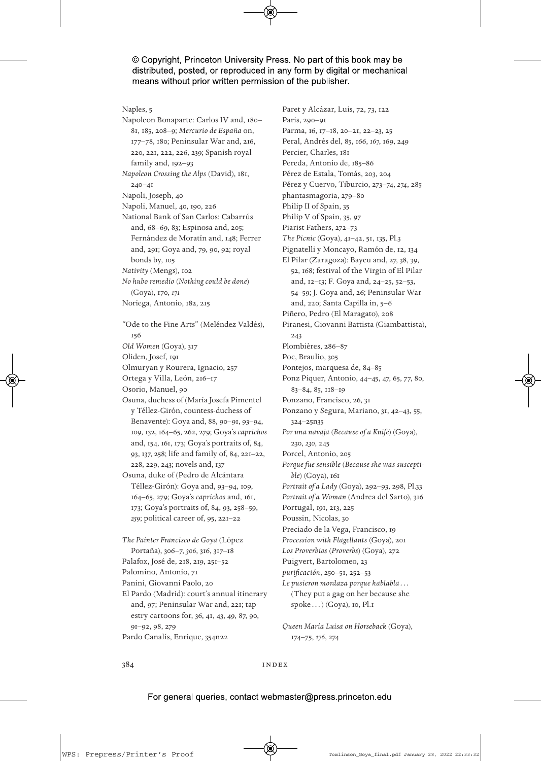Naples, 5

Napoleon Bonaparte: Carlos IV and, 180– 81, 185, 208–9; *Mercurio de España* on, 177–78, 180; Peninsular War and, 216, 220, 221, 222, 226, 239; Spanish royal family and, 192–93 *Napoleon Crossing the Alps* (David), 181, 240–41 Napoli, Joseph, 40 Napoli, Manuel, 40, 190, 226 National Bank of San Carlos: Cabarrús and, 68–69, 83; Espinosa and, 205; Fernández de Moratín and, 148; Ferrer and, 291; Goya and, 79, 90, 92; royal bonds by, 105 *Nativity* (Mengs), 102 *No hubo remedio* (*Nothing could be done*) (Goya), 170, *171* Noriega, Antonio, 182, 215 "Ode to the Fine Arts" (Meléndez Valdés), 156 *Old Women* (Goya), 317 Oliden, Josef, 191 Olmuryan y Rourera, Ignacio, 257 Ortega y Villa, León, 216–17 Osorio, Manuel, 90 Osuna, duchess of (María Josefa Pimentel y Téllez-Girón, countess-duchess of Benavente): Goya and, 88, 90–91, 93–94, 109, 132, 164–65, 262, 279; Goya's *caprichos* and, 154, 161, 173; Goya's portraits of, 84, 93, 137, 258; life and family of, 84, 221–22, 228, 229, 243; novels and, 137 Osuna, duke of (Pedro de Alcántara Téllez-Girón): Goya and, 93–94, 109, 164–65, 279; Goya's *caprichos* and, 161, 173; Goya's portraits of, 84, 93, 258–59, *259*; political career of, 95, 221–22 *The Painter Francisco de Goya* (López Portaña), 306–7, *306*, 316, 317–18 Palafox, José de, 218, 219, 251–52 Palomino, Antonio, 71 Panini, Giovanni Paolo, 20 El Pardo (Madrid): court's annual itinerary and, 97; Peninsular War and, 221; tap-

estry cartoons for, 36, 41, 43, 49, 87, 90, 91–92, 98, 279 Pardo Canalís, Enrique, 354n22

Paret y Alcázar, Luis, 72, 73, 122 Paris, 290–91 Parma, 16, 17–18, 20–21, 22–23, 25 Peral, Andrés del, 85, 166, *167*, 169, 249 Percier, Charles, 181 Pereda, Antonio de, 185–86 Pérez de Estala, Tomás, 203, 204 Pérez y Cuervo, Tiburcio, 273–74, *274*, 285 phantasmagoria, 279–80 Philip II of Spain, 35 Philip V of Spain, 35, 97 Piarist Fathers, 272–73 *The Picnic* (Goya), 41–42, 51, 135, Pl.3 Pignatelli y Moncayo, Ramón de, 12, 134 El Pilar (Zaragoza): Bayeu and, 27, 38, 39, 52, 168; festival of the Virgin of El Pilar and, 12–13; F. Goya and, 24–25, 52–53, 54–59; J. Goya and, 26; Peninsular War and, 220; Santa Capilla in, 5–6 Piñero, Pedro (El Maragato), 208 Piranesi, Giovanni Battista (Giambattista), 243 Plombières, 286–87 Poc, Braulio, 305 Pontejos, marquesa de, 84–85 Ponz Piquer, Antonio, 44–45, 47, 65, 77, 80, 83–84, 85, 118–19 Ponzano, Francisco, 26, 31 Ponzano y Segura, Mariano, 31, 42–43, 55, 324–25n35 *Por una navaja* (*Because of a Knife*) (Goya), 230, *230*, 245 Porcel, Antonio, 205 *Porque fue sensible* (*Because she was susceptible*) (Goya), 161 *Portrait of a Lady* (Goya), 292–93, 298, Pl.33 *Portrait of a Woman* (Andrea del Sarto), 316 Portugal, 191, 213, 225 Poussin, Nicolas, 30 Preciado de la Vega, Francisco, 19 *Procession with Flagellants* (Goya), 201 *Los Proverbios* (*Proverbs*) (Goya), 272 Puigvert, Bartolomeo, 23 *purificación*, 250–51, 252–53 *Le pusieron mordaza porque hablabla ...*  (They put a gag on her because she spoke . . . ) (Goya), 10, Pl.1

*Queen María Luisa on Horseback* (Goya), 174–75, *176*, 274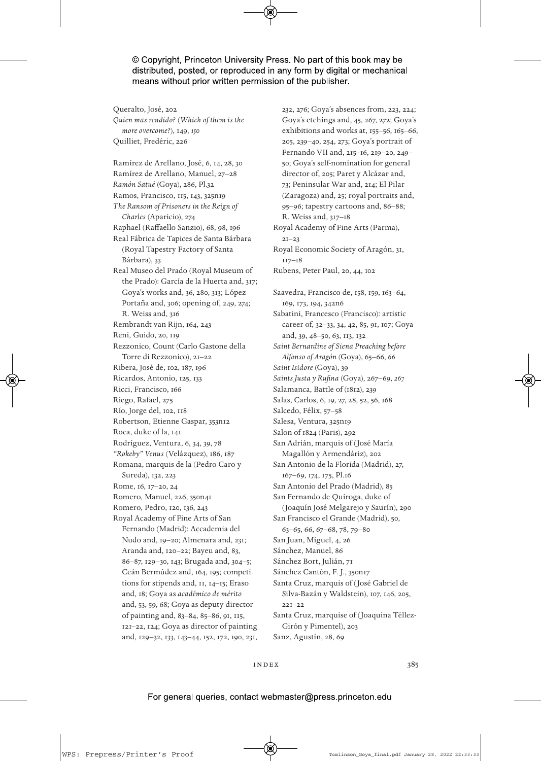*Quien mas rendido?* (*Which of them is the more overcome?*), 149, *150* Quilliet, Fredéric, 226 Ramírez de Arellano, José, 6, 14, 28, 30 Ramírez de Arellano, Manuel, 27–28 *Ramón Satué* (Goya), 286, Pl.32 Ramos, Francisco, 115, 143, 325n19 *The Ransom of Prisoners in the Reign of Charles* (Aparicio), 274 Raphael (Raffaello Sanzio), 68, 98, 196 Real Fábrica de Tapices de Santa Bárbara (Royal Tapestry Factory of Santa Bárbara), 33 Real Museo del Prado (Royal Museum of the Prado): García de la Huerta and, 317; Goya's works and, 36, 280, 313; López Portaña and, 306; opening of, 249, 274; R. Weiss and, 316 Rembrandt van Rijn, 164, 243 Reni, Guido, 20, 119 Rezzonico, Count (Carlo Gastone della Torre di Rezzonico), 21–22 Ribera, José de, 102, 187, 196 Ricardos, Antonio, 125, 133 Ricci, Francisco, 166 Riego, Rafael, 275 Río, Jorge del, 102, 118 Robertson, Etienne Gaspar, 353n12 Roca, duke of la, 141 Rodríguez, Ventura, 6, 34, 39, 78 *"Rokeby" Venus* (Velázquez), 186, 187 Romana, marquis de la (Pedro Caro y Sureda), 132, 223 Rome, 16, 17–20, 24 Romero, Manuel, 226, 350n41 Romero, Pedro, 120, 136, 243 Royal Academy of Fine Arts of San Fernando (Madrid): Accademia del Nudo and, 19–20; Almenara and, 231; Aranda and, 120–22; Bayeu and, 83, 86–87, 129–30, 143; Brugada and, 304–5; Ceán Bermúdez and, 164, 195; competitions for stipends and, 11, 14–15; Eraso and, 18; Goya as *académico de mérito* and, 53, 59, 68; Goya as deputy director of painting and, 83–84, 85–86, 91, 115, 121–22, 124; Goya as director of painting and, 129–32, 133, 143–44, 152, 172, 190, 231,

Queralto, José, 202

232, 276; Goya's absences from, 223, 224; Goya's etchings and, 45, 267, 272; Goya's exhibitions and works at, 155–56, 165–66, 205, 239–40, 254, 273; Goya's portrait of Fernando VII and, 215–16, 219–20, 249– 50; Goya's self-nomination for general director of, 205; Paret y Alcázar and, 73; Peninsular War and, 214; El Pilar (Zaragoza) and, 25; royal portraits and, 95–96; tapestry cartoons and, 86–88; R. Weiss and, 317–18 Royal Academy of Fine Arts (Parma),  $21 - 23$ Royal Economic Society of Aragón, 31, 117–18 Rubens, Peter Paul, 20, 44, 102 Saavedra, Francisco de, 158, 159, 163–64, 169, 173, 194, 342n6 Sabatini, Francesco (Francisco): artistic career of, 32–33, 34, 42, 85, 91, 107; Goya and, 39, 48–50, 63, 113, 132 *Saint Bernardine of Siena Preaching before Alfonso of Aragón* (Goya), 65–66, *66 Saint Isidore* (Goya), 39 *Saints Justa y Rufina* (Goya), 267–69, *267* Salamanca, Battle of (1812), 239 Salas, Carlos, 6, 19, 27, 28, 52, 56, 168 Salcedo, Félix, 57–58 Salesa, Ventura, 325n19 Salon of 1824 (Paris), 292 San Adrián, marquis of ( José María Magallón y Armendáriz), 202 San Antonio de la Florida (Madrid), 27, 167–69, 174, 175, Pl.16 San Antonio del Prado (Madrid), 85 San Fernando de Quiroga, duke of (Joaquín José Melgarejo y Saurín), 290 San Francisco el Grande (Madrid), 50, 63–65, 66, 67–68, 78, 79–80 San Juan, Miguel, 4, 26 Sánchez, Manuel, 86 Sánchez Bort, Julián, 71 Sánchez Cantón, F. J., 350n17 Santa Cruz, marquis of ( José Gabriel de Silva-Bazán y Waldstein), 107, 146, 205, 221–22 Santa Cruz, marquise of ( Joaquina Téllez-Girón y Pimentel), 203 Sanz, Agustín, 28, 69

index 385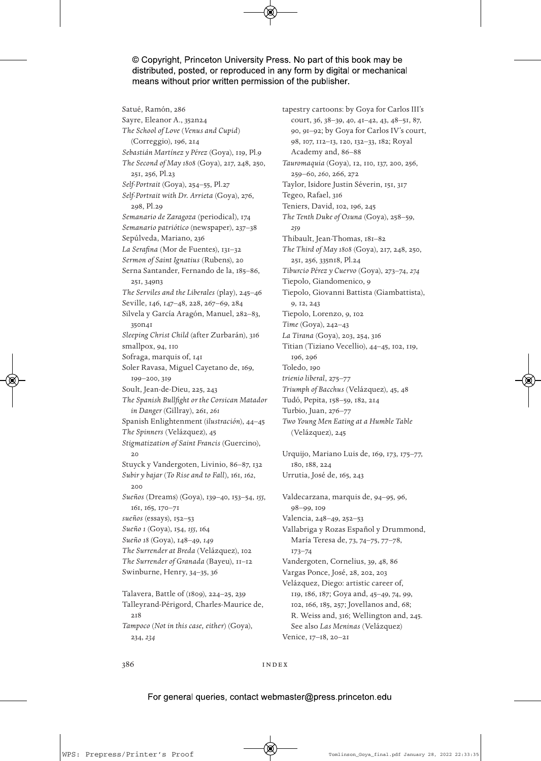Satué, Ramón, 286 Sayre, Eleanor A., 352n24 *The School of Love* (*Venus and Cupid*) (Correggio), 196, 214 *Sebastián Martínez y Pérez* (Goya), 119, Pl.9 *The Second of May 1808* (Goya), 217, 248, 250, 251, 256, Pl.23 *Self-Portrait* (Goya), 254–55, Pl.27 *Self-Portrait with Dr. Arrieta* (Goya), 276, 298, Pl.29 *Semanario de Zaragoza* (periodical), 174 *Semanario patriótico* (newspaper), 237–38 Sepúlveda, Mariano, 236 *La Serafina* (Mor de Fuentes), 131–32 *Sermon of Saint Ignatius* (Rubens), 20 Serna Santander, Fernando de la, 185–86, 251, 349n3 *The Serviles and the Liberales* (play), 245–46 Seville, 146, 147–48, 228, 267–69, 284 Silvela y García Aragón, Manuel, 282–83, 350n41 *Sleeping Christ Child* (after Zurbarán), 316 smallpox, 94, 110 Sofraga, marquis of, 141 Soler Ravasa, Miguel Cayetano de, 169, 199–200, 319 Soult, Jean-de-Dieu, 225, 243 *The Spanish Bullfight or the Corsican Matador in Danger* (Gillray), 261, *261* Spanish Enlightenment (*ilustración*), 44–45 *The Spinners* (Velázquez), 45 *Stigmatization of Saint Francis* (Guercino),  $20$ Stuyck y Vandergoten, Livinio, 86–87, 132 *Subir y bajar* (*To Rise and to Fall*), 161, *162*, 200 *Sueños* (Dreams) (Goya), 139–40, 153–54, *155*, 161, 165, 170–71 *sueños* (essays), 152–53 *Sueño 1* (Goya), 154, *155*, 164 *Sueño 18* (Goya), 148–49, *149 The Surrender at Breda* (Velázquez), 102 *The Surrender of Granada* (Bayeu), 11–12 Swinburne, Henry, 34–35, 36 Talavera, Battle of (1809), 224–25, 239 Talleyrand-Périgord, Charles-Maurice de, 218 *Tampoco* (*Not in this case, either*) (Goya),

tapestry cartoons: by Goya for Carlos III's court, 36, 38–39, 40, 41–42, 43, 48–51, 87, 90, 91–92; by Goya for Carlos IV's court, 98, 107, 112–13, 120, 132–33, 182; Royal Academy and, 86–88 *Tauromaquia* (Goya), 12, 110, 137, 200, 256, 259–60, *260*, 266, 272 Taylor, Isidore Justin Séverin, 151, 317 Tegeo, Rafael, 316 Teniers, David, 102, 196, 245 *The Tenth Duke of Osuna* (Goya), 258–59, *259* Thibault, Jean-Thomas, 181–82 *The Third of May 1808* (Goya), 217, 248, 250, 251, 256, 335n18, Pl.24 *Tiburcio Pérez y Cuervo* (Goya), 273–74, *274* Tiepolo, Giandomenico, 9 Tiepolo, Giovanni Battista (Giambattista), 9, 12, 243 Tiepolo, Lorenzo, 9, 102 *Time* (Goya), 242–43 *La Tirana* (Goya), 203, 254, 316 Titian (Tiziano Vecellio), 44–45, 102, 119, 196, 296 Toledo, 190 *trienio liberal*, 275–77 *Triumph of Bacchus* (Velázquez), 45, 48 Tudó, Pepita, 158–59, 182, 214 Turbio, Juan, 276–77 *Two Young Men Eating at a Humble Table* (Velázquez), 245

Urquijo, Mariano Luis de, 169, 173, 175–77, 180, 188, 224 Urrutia, José de, 165, 243

Valdecarzana, marquis de, 94–95, 96, 98–99, 109 Valencia, 248–49, 252–53 Vallabriga y Rozas Español y Drummond, María Teresa de, 73, 74–75, 77–78, 173–74 Vandergoten, Cornelius, 39, 48, 86 Vargas Ponce, José, 28, 202, 203 Velázquez, Diego: artistic career of, 119, 186, 187; Goya and, 45–49, 74, 99, 102, 166, 185, 257; Jovellanos and, 68; R. Weiss and, 316; Wellington and, 245. See also *Las Meninas* (Velázquez) Venice, 17–18, 20–21

234, *234*